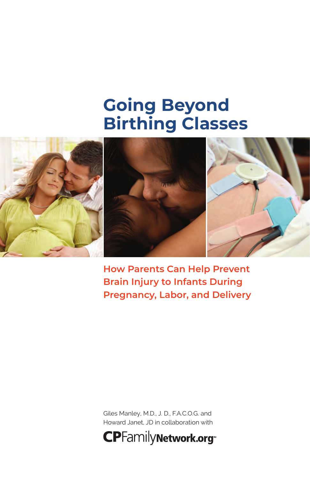## **Going Beyond Birthing Classes**



**How Parents Can Help Prevent Brain Injury to Infants During Pregnancy, Labor, and Delivery**

Giles Manley, M.D., J. D., F.A.C.O.G. and Howard Janet, JD in collaboration with

**CPFamilyNetwork.org\***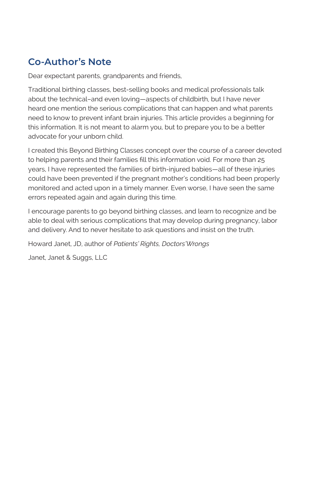## **Co-Author's Note**

Dear expectant parents, grandparents and friends,

Traditional birthing classes, best-selling books and medical professionals talk about the technical–and even loving—aspects of childbirth, but I have never heard one mention the serious complications that can happen and what parents need to know to prevent infant brain injuries. This article provides a beginning for this information. It is not meant to alarm you, but to prepare you to be a better advocate for your unborn child.

I created this Beyond Birthing Classes concept over the course of a career devoted to helping parents and their families fill this information void. For more than 25 years, I have represented the families of birth-injured babies—all of these injuries could have been prevented if the pregnant mother's conditions had been properly monitored and acted upon in a timely manner. Even worse, I have seen the same errors repeated again and again during this time.

I encourage parents to go beyond birthing classes, and learn to recognize and be able to deal with serious complications that may develop during pregnancy, labor and delivery. And to never hesitate to ask questions and insist on the truth.

Howard Janet, JD, author of *Patients' Rights, Doctors'Wrongs*

Janet, Janet & Suggs, LLC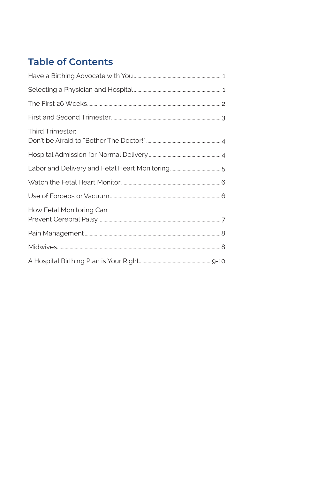## **Table of Contents**

| Third Trimester:         |
|--------------------------|
|                          |
|                          |
|                          |
|                          |
| How Fetal Monitoring Can |
|                          |
|                          |
|                          |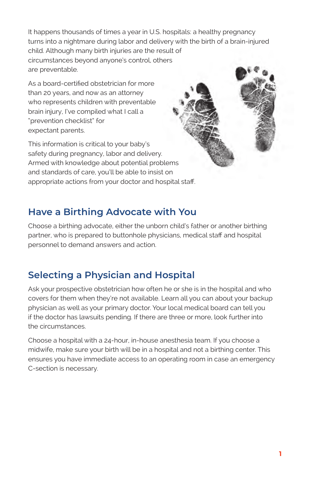It happens thousands of times a year in U.S. hospitals: a healthy pregnancy turns into a nightmare during labor and delivery with the birth of a brain-injured child. Although many birth injuries are the result of circumstances beyond anyone's control, others are preventable.

As a board-certified obstetrician for more than 20 years, and now as an attorney who represents children with preventable brain injury, I've compiled what I call a "prevention checklist" for expectant parents.

This information is critical to your baby's safety during pregnancy, labor and delivery. Armed with knowledge about potential problems and standards of care, you'll be able to insist on appropriate actions from your doctor and hospital staff.

## **Have a Birthing Advocate with You**

Choose a birthing advocate, either the unborn child's father or another birthing partner, who is prepared to buttonhole physicians, medical staff and hospital personnel to demand answers and action.

## **Selecting a Physician and Hospital**

Ask your prospective obstetrician how often he or she is in the hospital and who covers for them when they're not available. Learn all you can about your backup physician as well as your primary doctor. Your local medical board can tell you if the doctor has lawsuits pending. If there are three or more, look further into the circumstances.

Choose a hospital with a 24-hour, in-house anesthesia team. If you choose a midwife, make sure your birth will be in a hospital and not a birthing center. This ensures you have immediate access to an operating room in case an emergency C-section is necessary.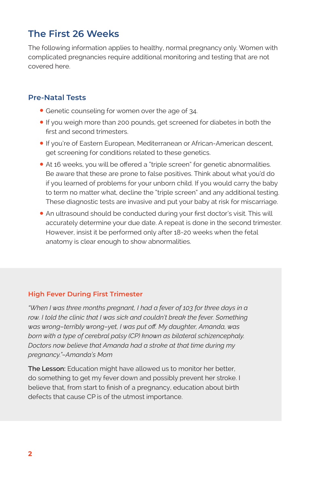## **The First 26 Weeks**

The following information applies to healthy, normal pregnancy only. Women with complicated pregnancies require additional monitoring and testing that are not covered here.

#### **Pre-Natal Tests**

- Genetic counseling for women over the age of 34.
- •If you weigh more than 200 pounds, get screened for diabetes in both the first and second trimesters.
- •If you're of Eastern European, Mediterranean or African-American descent, get screening for conditions related to these genetics.
- At 16 weeks, you will be offered a "triple screen" for genetic abnormalities. Be aware that these are prone to false positives. Think about what you'd do if you learned of problems for your unborn child. If you would carry the baby to term no matter what, decline the "triple screen" and any additional testing. These diagnostic tests are invasive and put your baby at risk for miscarriage.
- An ultrasound should be conducted during your first doctor's visit. This will accurately determine your due date. A repeat is done in the second trimester. However, insist it be performed only after 18-20 weeks when the fetal anatomy is clear enough to show abnormalities.

#### **High Fever During First Trimester**

*"When I was three months pregnant, I had a fever of 103 for three days in a*  row. I told the clinic that I was sick and couldn't break the fever. Something *was wrong–terribly wrong–yet, I was put off. My daughter, Amanda, was born with a type of cerebral palsy (CP) known as bilateral schizencephaly. Doctors now believe that Amanda had a stroke at that time during my pregnancy."–Amanda's Mom*

**The Lesson:** Education might have allowed us to monitor her better, do something to get my fever down and possibly prevent her stroke. I believe that, from start to finish of a pregnancy, education about birth defects that cause CP is of the utmost importance.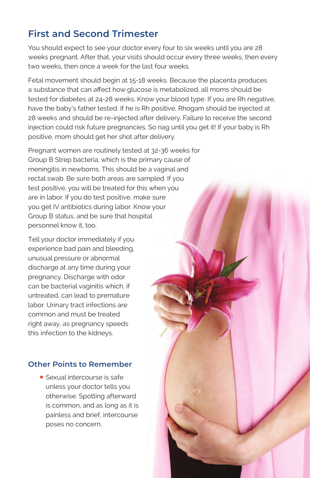## **First and Second Trimester**

You should expect to see your doctor every four to six weeks until you are 28 weeks pregnant. After that, your visits should occur every three weeks, then every two weeks, then once a week for the last four weeks.

Fetal movement should begin at 15-18 weeks. Because the placenta produces a substance that can affect how glucose is metabolized, all moms should be tested for diabetes at 24-28 weeks. Know your blood type. If you are Rh negative, have the baby's father tested. If he is Rh positive, Rhogam should be injected at 28 weeks and should be re-injected after delivery. Failure to receive the second injection could risk future pregnancies. So nag until you get it! If your baby is Rh positive, mom should get her shot after delivery.

Pregnant women are routinely tested at 32-36 weeks for Group B Strep bacteria, which is the primary cause of meningitis in newborns. This should be a vaginal and rectal swab. Be sure both areas are sampled. If you test positive, you will be treated for this when you are in labor. If you do test positive, make sure you get IV antibiotics during labor. Know your Group B status, and be sure that hospital personnel know it, too.

Tell your doctor immediately if you experience bad pain and bleeding, unusual pressure or abnormal discharge at any time during your pregnancy. Discharge with odor can be bacterial vaginitis which, if untreated, can lead to premature labor. Urinary tract infections are common and must be treated right away, as pregnancy speeds this infection to the kidneys.

#### **Other Points to Remember**

• Sexual intercourse is safe unless your doctor tells you otherwise. Spotting afterward is common, and as long as it is painless and brief, intercourse poses no concern.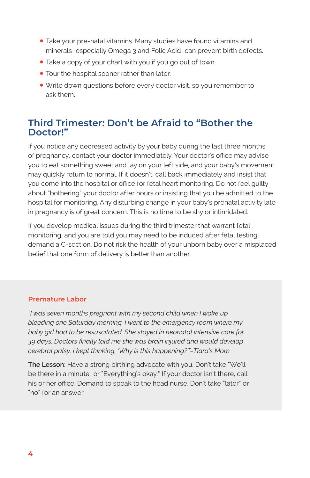- Take your pre-natal vitamins. Many studies have found vitamins and minerals–especially Omega 3 and Folic Acid–can prevent birth defects.
- Take a copy of your chart with you if you go out of town.
- Tour the hospital sooner rather than later.
- Write down questions before every doctor visit, so you remember to ask them.

### **Third Trimester: Don't be Afraid to "Bother the Doctor!"**

If you notice any decreased activity by your baby during the last three months of pregnancy, contact your doctor immediately. Your doctor's office may advise you to eat something sweet and lay on your left side, and your baby's movement may quickly return to normal. If it doesn't, call back immediately and insist that you come into the hospital or office for fetal heart monitoring. Do not feel guilty about "bothering" your doctor after hours or insisting that you be admitted to the hospital for monitoring. Any disturbing change in your baby's prenatal activity late in pregnancy is of great concern. This is no time to be shy or intimidated.

If you develop medical issues during the third trimester that warrant fetal monitoring, and you are told you may need to be induced after fetal testing, demand a C-section. Do not risk the health of your unborn baby over a misplaced belief that one form of delivery is better than another.

#### **Premature Labor**

*"I was seven months pregnant with my second child when I woke up bleeding one Saturday morning. I went to the emergency room where my baby girl had to be resuscitated. She stayed in neonatal intensive care for 39 days. Doctors finally told me she was brain injured and would develop cerebral palsy. I kept thinking, 'Why is this happening?'"–Tiara's Mom*

**The Lesson:** Have a strong birthing advocate with you. Don't take "We'll be there in a minute" or "Everything's okay." If your doctor isn't there, call his or her office. Demand to speak to the head nurse. Don't take "later" or "no" for an answer.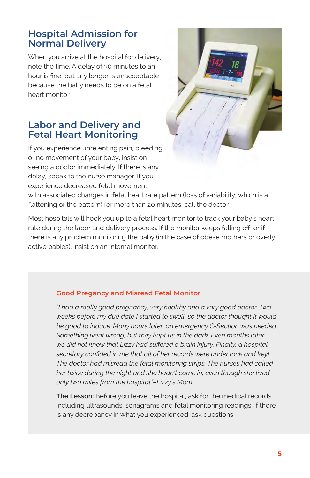### **Hospital Admission for Normal Delivery**

When you arrive at the hospital for delivery, note the time. A delay of 30 minutes to an hour is fine, but any longer is unacceptable because the baby needs to be on a fetal heart monitor.

#### **Labor and Delivery and Fetal Heart Monitoring**

If you experience unrelenting pain, bleeding or no movement of your baby, insist on seeing a doctor immediately. If there is any delay, speak to the nurse manager. If you experience decreased fetal movement



with associated changes in fetal heart rate pattern (loss of variability, which is a flattening of the pattern) for more than 20 minutes, call the doctor.

Most hospitals will hook you up to a fetal heart monitor to track your baby's heart rate during the labor and delivery process. If the monitor keeps falling off, or if there is any problem monitoring the baby (in the case of obese mothers or overly active babies), insist on an internal monitor.

#### **Good Pregancy and Misread Fetal Monitor**

*"I had a really good pregnancy, very healthy and a very good doctor. Two weeks before my due date I started to swell, so the doctor thought it would be good to induce. Many hours later, an emergency C-Section was needed. Something went wrong, but they kept us in the dark. Even months later we did not know that Lizzy had suffered a brain injury. Finally, a hospital secretary confided in me that all of her records were under lock and key! The doctor had misread the fetal monitoring strips. The nurses had called her twice during the night and she hadn't come in, even though she lived only two miles from the hospital."–Lizzy's Mom*

**The Lesson:** Before you leave the hospital, ask for the medical records including ultrasounds, sonagrams and fetal monitoring readings. If there is any decrepancy in what you experienced, ask questions.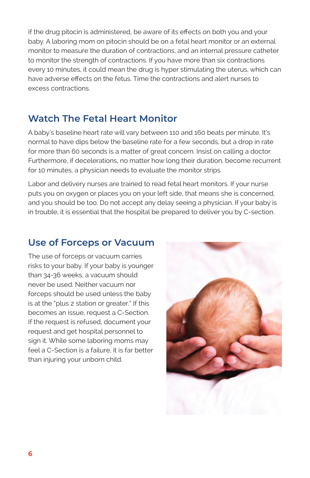If the drug pitocin is administered, be aware of its effects on both you and your baby. A laboring mom on pitocin should be on a fetal heart monitor or an external monitor to measure the duration of contractions, and an internal pressure catheter to monitor the strength of contractions. If you have more than six contractions every 10 minutes, it could mean the drug is hyper stimulating the uterus, which can have adverse effects on the fetus. Time the contractions and alert nurses to excess contractions.

## **Watch The Fetal Heart Monitor**

A baby's baseline heart rate will vary between 110 and 160 beats per minute. It's normal to have dips below the baseline rate for a few seconds, but a drop in rate for more than 60 seconds is a matter of great concern. Insist on calling a doctor. Furthermore, if decelerations, no matter how long their duration, become recurrent for 10 minutes, a physician needs to evaluate the monitor strips.

Labor and delivery nurses are trained to read fetal heart monitors. If your nurse puts you on oxygen or places you on your left side, that means she is concerned, and you should be too. Do not accept any delay seeing a physician. If your baby is in trouble, it is essential that the hospital be prepared to deliver you by C-section.

## **Use of Forceps or Vacuum**

The use of forceps or vacuum carries risks to your baby. If your baby is younger than 34-36 weeks, a vacuum should never be used. Neither vacuum nor forceps should be used unless the baby is at the "plus 2 station or greater." If this becomes an issue, request a C-Section. If the request is refused, document your request and get hospital personnel to sign it. While some laboring moms may feel a C-Section is a failure, it is far better than injuring your unborn child.

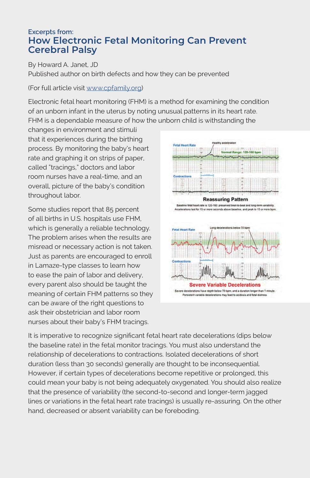#### **Excerpts from: How Electronic Fetal Monitoring Can Prevent Cerebral Palsy**

By Howard A. Janet, JD Published author on birth defects and how they can be prevented

#### (For full article visit [www.cpfamily.org](https://cpfamilynetwork.org/resources/blog/how-electronic-fetal-monitoring-can-prevent-cerebral-palsy/))

Electronic fetal heart monitoring (FHM) is a method for examining the condition of an unborn infant in the uterus by noting unusual patterns in its heart rate. FHM is a dependable measure of how the unborn child is withstanding the

changes in environment and stimuli that it experiences during the birthing process. By monitoring the baby's heart rate and graphing it on strips of paper, called "tracings," doctors and labor room nurses have a real-time, and an overall, picture of the baby's condition throughout labor.

Some studies report that 85 percent of all births in U.S. hospitals use FHM, which is generally a reliable technology. The problem arises when the results are misread or necessary action is not taken. Just as parents are encouraged to enroll in Lamaze-type classes to learn how to ease the pain of labor and delivery, every parent also should be taught the meaning of certain FHM patterns so they can be aware of the right questions to ask their obstetrician and labor room nurses about their baby's FHM tracings.



It is imperative to recognize significant fetal heart rate decelerations (dips below the baseline rate) in the fetal monitor tracings. You must also understand the relationship of decelerations to contractions. Isolated decelerations of short duration (less than 30 seconds) generally are thought to be inconsequential. However, if certain types of decelerations become repetitive or prolonged, this could mean your baby is not being adequately oxygenated. You should also realize that the presence of variability (the second-to-second and longer-term jagged lines or variations in the fetal heart rate tracings) is usually re-assuring. On the other hand, decreased or absent variability can be foreboding.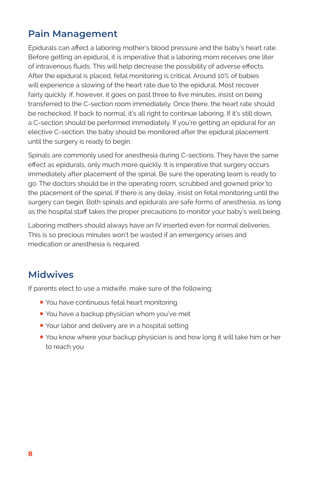## **Pain Management**

Epidurals can affect a laboring mother's blood pressure and the baby's heart rate. Before getting an epidural, it is imperative that a laboring mom receives one liter of intravenous fluids. This will help decrease the possibility of adverse effects. After the epidural is placed, fetal monitoring is critical. Around 10% of babies will experience a slowing of the heart rate due to the epidural. Most recover fairly quickly. If, however, it goes on past three to five minutes, insist on being transferred to the C-section room immediately. Once there, the heart rate should be rechecked. If back to normal, it's all right to continue laboring. If it's still down, a C-section should be performed immediately. If you're getting an epidural for an elective C-section, the baby should be monitored after the epidural placement until the surgery is ready to begin.

Spinals are commonly used for anesthesia during C-sections. They have the same effect as epidurals, only much more quickly. It is imperative that surgery occurs immediately after placement of the spinal. Be sure the operating team is ready to go. The doctors should be in the operating room, scrubbed and gowned prior to the placement of the spinal. If there is any delay, insist on fetal monitoring until the surgery can begin. Both spinals and epidurals are safe forms of anesthesia, as long as the hospital staff takes the proper precautions to monitor your baby's well being.

Laboring mothers should always have an IV inserted even for normal deliveries. This is so precious minutes won't be wasted if an emergency arises and medication or anesthesia is required.

## **Midwives**

If parents elect to use a midwife, make sure of the following:

- You have continuous fetal heart monitoring
- You have a backup physician whom you've met
- Your labor and delivery are in a hospital setting
- You know where your backup physician is and how long it will take him or her to reach you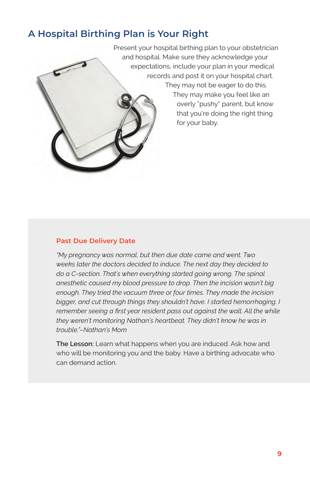## **A Hospital Birthing Plan is Your Right**

Present your hospital birthing plan to your obstetrician and hospital. Make sure they acknowledge your expectations, include your plan in your medical records and post it on your hospital chart. They may not be eager to do this.

> They may make you feel like an overly "pushy" parent, but know that you're doing the right thing for your baby.

#### **Past Due Delivery Date**

*"My pregnancy was normal, but then due date came and went. Two weeks later the doctors decided to induce. The next day they decided to do a C-section. That's when everything started going wrong. The spinal anesthetic caused my blood pressure to drop. Then the incision wasn't big enough. They tried the vacuum three or four times. They made the incision bigger, and cut through things they shouldn't have. I started hemorrhaging. I remember seeing a first year resident pass out against the wall. All the while they weren't monitoring Nathan's heartbeat. They didn't know he was in trouble."–Nathan's Mom*

**The Lesson:** Learn what happens when you are induced. Ask how and who will be monitoring you and the baby. Have a birthing advocate who can demand action.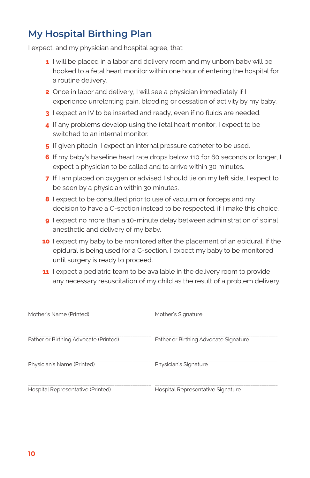## **My Hospital Birthing Plan**

I expect, and my physician and hospital agree, that:

- **1** I will be placed in a labor and delivery room and my unborn baby will be hooked to a fetal heart monitor within one hour of entering the hospital for a routine delivery.
- **2** Once in labor and delivery, I will see a physician immediately if I experience unrelenting pain, bleeding or cessation of activity by my baby.
- **3** I expect an IV to be inserted and ready, even if no fluids are needed.
- **4** If any problems develop using the fetal heart monitor, I expect to be switched to an internal monitor.
- **5** If given pitocin, I expect an internal pressure catheter to be used.
- **6** If my baby's baseline heart rate drops below 110 for 60 seconds or longer, I expect a physician to be called and to arrive within 30 minutes.
- **7** If I am placed on oxygen or advised I should lie on my left side, I expect to be seen by a physician within 30 minutes.
- **8** I expect to be consulted prior to use of vacuum or forceps and my decision to have a C-section instead to be respected, if I make this choice.
- **9** I expect no more than a 10-minute delay between administration of spinal anesthetic and delivery of my baby.
- **10** I expect my baby to be monitored after the placement of an epidural. If the epidural is being used for a C-section, I expect my baby to be monitored until surgery is ready to proceed.
- **11** I expect a pediatric team to be available in the delivery room to provide any necessary resuscitation of my child as the result of a problem delivery.

| Mother's Name (Printed)               | Mother's Signature                    |
|---------------------------------------|---------------------------------------|
| Father or Birthing Advocate (Printed) | Father or Birthing Advocate Signature |
| Physician's Name (Printed)            | Physician's Signature                 |
| Hospital Representative (Printed)     | Hospital Representative Signature     |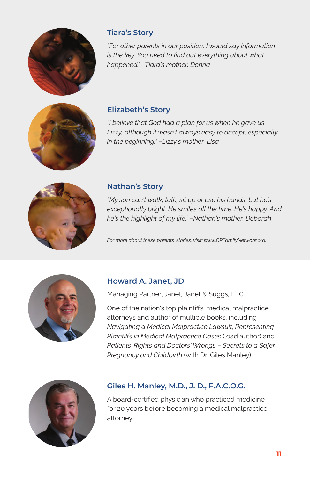

#### **Tiara's Story**

*"For other parents in our position, I would say information is the key. You need to find out everything about what happened." –Tiara's mother, Donna*



#### **Elizabeth's Story**

*"I believe that God had a plan for us when he gave us Lizzy, although it wasn't always easy to accept, especially in the beginning." –Lizzy's mother, Lisa*



#### **Nathan's Story**

*"My son can't walk, talk, sit up or use his hands, but he's exceptionally bright. He smiles all the time. He's happy. And he's the highlight of my life." –Nathan's mother, Deborah*

*For more about these parents' stories, visit: www.CPFamilyNetwork.org.*



#### **Howard A. Janet, JD**

Managing Partner, Janet, Janet & Suggs, LLC.

One of the nation's top plaintiffs' medical malpractice attorneys and author of multiple books, including *Navigating a Medical Malpractice Lawsuit*, *Representing Plaintiffs in Medical Malpractice Cases* (lead author) and *Patients' Rights and Doctors' Wrongs – Secrets to a Safer Pregnancy and Childbirth* (with Dr. Giles Manley).



#### **Giles H. Manley, M.D., J. D., F.A.C.O.G.**

A board-certified physician who practiced medicine for 20 years before becoming a medical malpractice attorney.